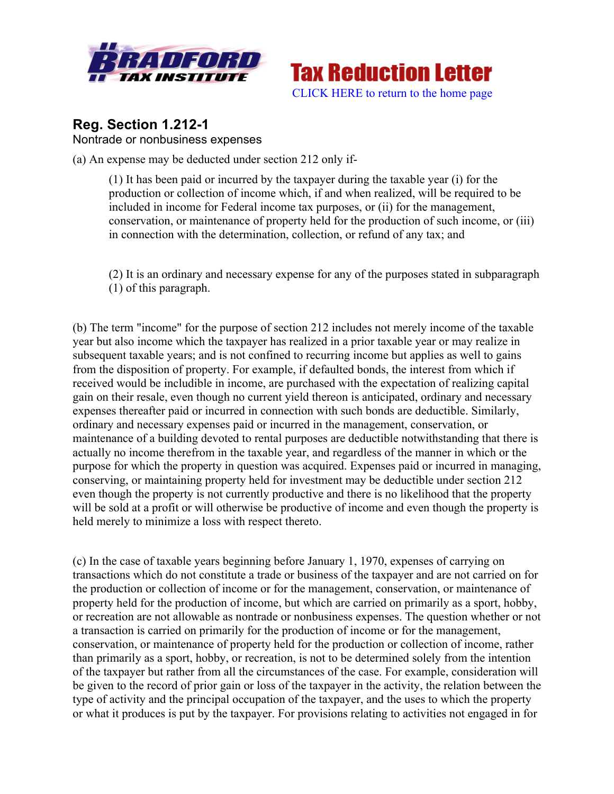



## **Reg. Section 1.212-1** Nontrade or nonbusiness expenses

(a) An expense may be deducted under section 212 only if-

(1) It has been paid or incurred by the taxpayer during the taxable year (i) for the production or collection of income which, if and when realized, will be required to be included in income for Federal income tax purposes, or (ii) for the management, conservation, or maintenance of property held for the production of such income, or (iii) in connection with the determination, collection, or refund of any tax; and

(2) It is an ordinary and necessary expense for any of the purposes stated in subparagraph (1) of this paragraph.

(b) The term "income" for the purpose of section 212 includes not merely income of the taxable year but also income which the taxpayer has realized in a prior taxable year or may realize in subsequent taxable years; and is not confined to recurring income but applies as well to gains from the disposition of property. For example, if defaulted bonds, the interest from which if received would be includible in income, are purchased with the expectation of realizing capital gain on their resale, even though no current yield thereon is anticipated, ordinary and necessary expenses thereafter paid or incurred in connection with such bonds are deductible. Similarly, ordinary and necessary expenses paid or incurred in the management, conservation, or maintenance of a building devoted to rental purposes are deductible notwithstanding that there is actually no income therefrom in the taxable year, and regardless of the manner in which or the purpose for which the property in question was acquired. Expenses paid or incurred in managing, conserving, or maintaining property held for investment may be deductible under section 212 even though the property is not currently productive and there is no likelihood that the property will be sold at a profit or will otherwise be productive of income and even though the property is held merely to minimize a loss with respect thereto.

(c) In the case of taxable years beginning before January 1, 1970, expenses of carrying on transactions which do not constitute a trade or business of the taxpayer and are not carried on for the production or collection of income or for the management, conservation, or maintenance of property held for the production of income, but which are carried on primarily as a sport, hobby, or recreation are not allowable as nontrade or nonbusiness expenses. The question whether or not a transaction is carried on primarily for the production of income or for the management, conservation, or maintenance of property held for the production or collection of income, rather than primarily as a sport, hobby, or recreation, is not to be determined solely from the intention of the taxpayer but rather from all the circumstances of the case. For example, consideration will be given to the record of prior gain or loss of the taxpayer in the activity, the relation between the type of activity and the principal occupation of the taxpayer, and the uses to which the property or what it produces is put by the taxpayer. For provisions relating to activities not engaged in for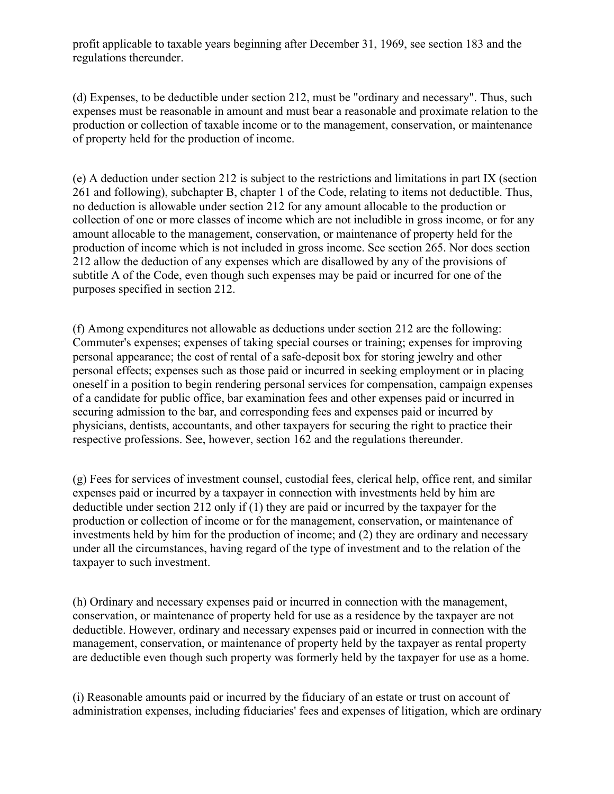profit applicable to taxable years beginning after December 31, 1969, see section 183 and the regulations thereunder.

(d) Expenses, to be deductible under section 212, must be "ordinary and necessary". Thus, such expenses must be reasonable in amount and must bear a reasonable and proximate relation to the production or collection of taxable income or to the management, conservation, or maintenance of property held for the production of income.

(e) A deduction under section 212 is subject to the restrictions and limitations in part IX (section 261 and following), subchapter B, chapter 1 of the Code, relating to items not deductible. Thus, no deduction is allowable under section 212 for any amount allocable to the production or collection of one or more classes of income which are not includible in gross income, or for any amount allocable to the management, conservation, or maintenance of property held for the production of income which is not included in gross income. See section 265. Nor does section 212 allow the deduction of any expenses which are disallowed by any of the provisions of subtitle A of the Code, even though such expenses may be paid or incurred for one of the purposes specified in section 212.

(f) Among expenditures not allowable as deductions under section 212 are the following: Commuter's expenses; expenses of taking special courses or training; expenses for improving personal appearance; the cost of rental of a safe-deposit box for storing jewelry and other personal effects; expenses such as those paid or incurred in seeking employment or in placing oneself in a position to begin rendering personal services for compensation, campaign expenses of a candidate for public office, bar examination fees and other expenses paid or incurred in securing admission to the bar, and corresponding fees and expenses paid or incurred by physicians, dentists, accountants, and other taxpayers for securing the right to practice their respective professions. See, however, section 162 and the regulations thereunder.

(g) Fees for services of investment counsel, custodial fees, clerical help, office rent, and similar expenses paid or incurred by a taxpayer in connection with investments held by him are deductible under section 212 only if (1) they are paid or incurred by the taxpayer for the production or collection of income or for the management, conservation, or maintenance of investments held by him for the production of income; and (2) they are ordinary and necessary under all the circumstances, having regard of the type of investment and to the relation of the taxpayer to such investment.

(h) Ordinary and necessary expenses paid or incurred in connection with the management, conservation, or maintenance of property held for use as a residence by the taxpayer are not deductible. However, ordinary and necessary expenses paid or incurred in connection with the management, conservation, or maintenance of property held by the taxpayer as rental property are deductible even though such property was formerly held by the taxpayer for use as a home.

(i) Reasonable amounts paid or incurred by the fiduciary of an estate or trust on account of administration expenses, including fiduciaries' fees and expenses of litigation, which are ordinary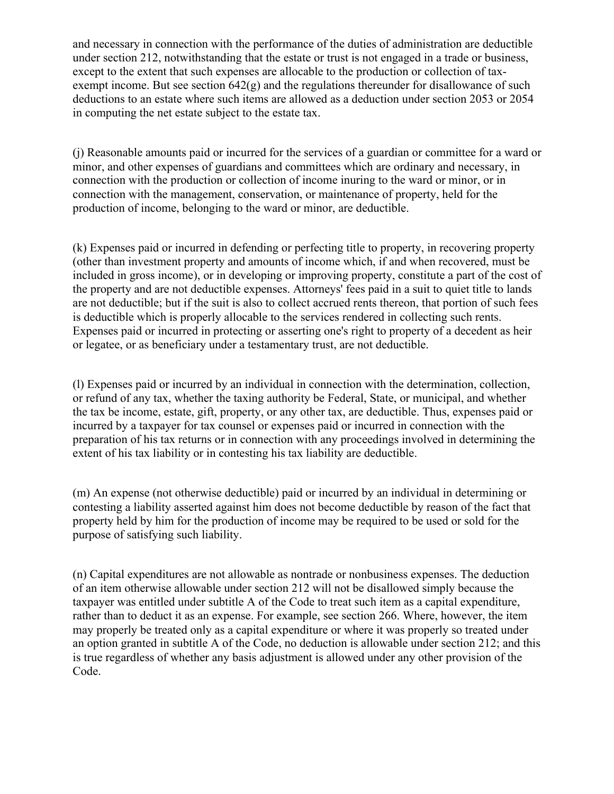and necessary in connection with the performance of the duties of administration are deductible under section 212, notwithstanding that the estate or trust is not engaged in a trade or business, except to the extent that such expenses are allocable to the production or collection of taxexempt income. But see section 642(g) and the regulations thereunder for disallowance of such deductions to an estate where such items are allowed as a deduction under section 2053 or 2054 in computing the net estate subject to the estate tax.

(j) Reasonable amounts paid or incurred for the services of a guardian or committee for a ward or minor, and other expenses of guardians and committees which are ordinary and necessary, in connection with the production or collection of income inuring to the ward or minor, or in connection with the management, conservation, or maintenance of property, held for the production of income, belonging to the ward or minor, are deductible.

(k) Expenses paid or incurred in defending or perfecting title to property, in recovering property (other than investment property and amounts of income which, if and when recovered, must be included in gross income), or in developing or improving property, constitute a part of the cost of the property and are not deductible expenses. Attorneys' fees paid in a suit to quiet title to lands are not deductible; but if the suit is also to collect accrued rents thereon, that portion of such fees is deductible which is properly allocable to the services rendered in collecting such rents. Expenses paid or incurred in protecting or asserting one's right to property of a decedent as heir or legatee, or as beneficiary under a testamentary trust, are not deductible.

(l) Expenses paid or incurred by an individual in connection with the determination, collection, or refund of any tax, whether the taxing authority be Federal, State, or municipal, and whether the tax be income, estate, gift, property, or any other tax, are deductible. Thus, expenses paid or incurred by a taxpayer for tax counsel or expenses paid or incurred in connection with the preparation of his tax returns or in connection with any proceedings involved in determining the extent of his tax liability or in contesting his tax liability are deductible.

(m) An expense (not otherwise deductible) paid or incurred by an individual in determining or contesting a liability asserted against him does not become deductible by reason of the fact that property held by him for the production of income may be required to be used or sold for the purpose of satisfying such liability.

(n) Capital expenditures are not allowable as nontrade or nonbusiness expenses. The deduction of an item otherwise allowable under section 212 will not be disallowed simply because the taxpayer was entitled under subtitle A of the Code to treat such item as a capital expenditure, rather than to deduct it as an expense. For example, see section 266. Where, however, the item may properly be treated only as a capital expenditure or where it was properly so treated under an option granted in subtitle A of the Code, no deduction is allowable under section 212; and this is true regardless of whether any basis adjustment is allowed under any other provision of the Code.